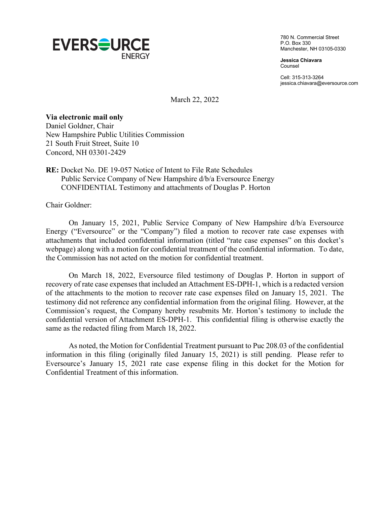

780 N. Commercial Street P.O. Box 330 Manchester, NH 03105-0330

**Jessica Chiavara** Counsel

Cell: 315-313-3264 jessica.chiavara@eversource.com

March 22, 2022

## **Via electronic mail only**

Daniel Goldner, Chair New Hampshire Public Utilities Commission 21 South Fruit Street, Suite 10 Concord, NH 03301-2429

## **RE:** Docket No. DE 19-057 Notice of Intent to File Rate Schedules Public Service Company of New Hampshire d/b/a Eversource Energy CONFIDENTIAL Testimony and attachments of Douglas P. Horton

Chair Goldner:

On January 15, 2021, Public Service Company of New Hampshire d/b/a Eversource Energy ("Eversource" or the "Company") filed a motion to recover rate case expenses with attachments that included confidential information (titled "rate case expenses" on this docket's webpage) along with a motion for confidential treatment of the confidential information. To date, the Commission has not acted on the motion for confidential treatment.

On March 18, 2022, Eversource filed testimony of Douglas P. Horton in support of recovery of rate case expenses that included an Attachment ES-DPH-1, which is a redacted version of the attachments to the motion to recover rate case expenses filed on January 15, 2021. The testimony did not reference any confidential information from the original filing. However, at the Commission's request, the Company hereby resubmits Mr. Horton's testimony to include the confidential version of Attachment ES-DPH-1. This confidential filing is otherwise exactly the same as the redacted filing from March 18, 2022.

As noted, the Motion for Confidential Treatment pursuant to Puc 208.03 of the confidential information in this filing (originally filed January 15, 2021) is still pending. Please refer to Eversource's January 15, 2021 rate case expense filing in this docket for the Motion for Confidential Treatment of this information.